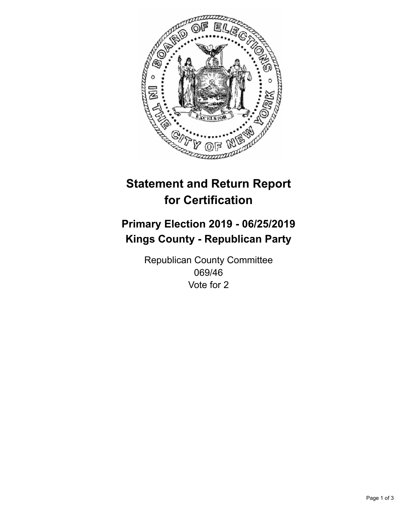

## **Statement and Return Report for Certification**

## **Primary Election 2019 - 06/25/2019 Kings County - Republican Party**

Republican County Committee 069/46 Vote for 2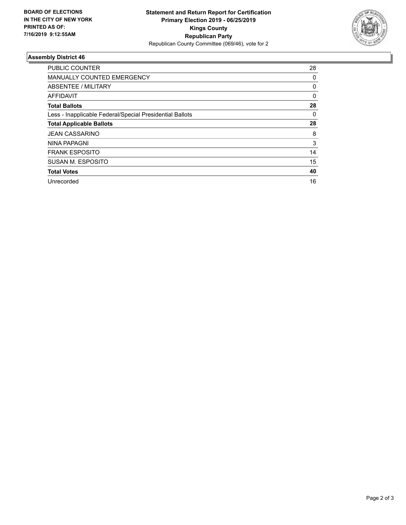

## **Assembly District 46**

| <b>PUBLIC COUNTER</b>                                    | 28       |
|----------------------------------------------------------|----------|
| <b>MANUALLY COUNTED EMERGENCY</b>                        | 0        |
| ABSENTEE / MILITARY                                      | 0        |
| AFFIDAVIT                                                | $\Omega$ |
| <b>Total Ballots</b>                                     | 28       |
| Less - Inapplicable Federal/Special Presidential Ballots | 0        |
| <b>Total Applicable Ballots</b>                          | 28       |
| <b>JEAN CASSARINO</b>                                    | 8        |
| <b>NINA PAPAGNI</b>                                      | 3        |
| <b>FRANK ESPOSITO</b>                                    | 14       |
| SUSAN M. ESPOSITO                                        | 15       |
| <b>Total Votes</b>                                       | 40       |
| Unrecorded                                               | 16       |